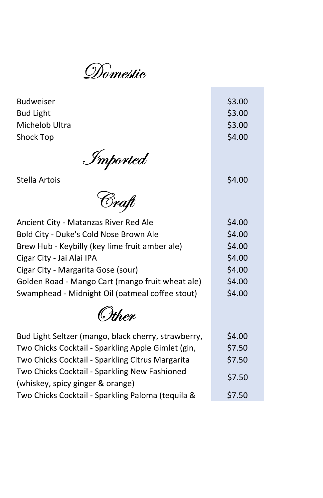Domestic

| <b>Budweiser</b> | \$3.00 |
|------------------|--------|
| <b>Bud Light</b> | \$3.00 |
| Michelob Ultra   | \$3.00 |
| Shock Top        | \$4.00 |

÷

Imported

estella Artois and a series and series and series and series and series and series  $\sim$  \$4.00

Craft

| Ancient City - Matanzas River Red Ale            | \$4.00 |
|--------------------------------------------------|--------|
| Bold City - Duke's Cold Nose Brown Ale           | \$4.00 |
| Brew Hub - Keybilly (key lime fruit amber ale)   | \$4.00 |
| Cigar City - Jai Alai IPA                        | \$4.00 |
| Cigar City - Margarita Gose (sour)               | \$4.00 |
| Golden Road - Mango Cart (mango fruit wheat ale) | \$4.00 |
| Swamphead - Midnight Oil (oatmeal coffee stout)  | \$4.00 |
|                                                  |        |

**Other** 

| Bud Light Seltzer (mango, black cherry, strawberry, | \$4.00 |  |
|-----------------------------------------------------|--------|--|
| Two Chicks Cocktail - Sparkling Apple Gimlet (gin,  | \$7.50 |  |
| Two Chicks Cocktail - Sparkling Citrus Margarita    | \$7.50 |  |
| Two Chicks Cocktail - Sparkling New Fashioned       | \$7.50 |  |
| (whiskey, spicy ginger & orange)                    |        |  |
| Two Chicks Cocktail - Sparkling Paloma (tequila &   | \$7.50 |  |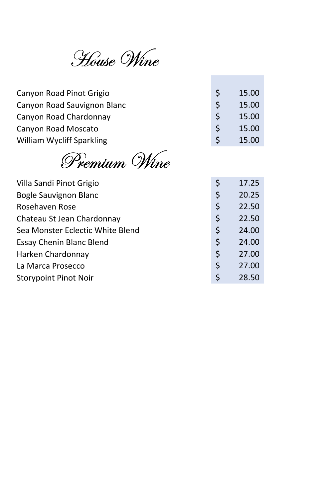House Wine

| Canyon Road Pinot Grigio    |    | 15.00 |
|-----------------------------|----|-------|
| Canyon Road Sauvignon Blanc |    | 15.00 |
| Canyon Road Chardonnay      | -S | 15.00 |
| Canyon Road Moscato         | -S | 15.00 |
| William Wycliff Sparkling   |    | 15.00 |

Premium Wine

| Villa Sandi Pinot Grigio         | \$<br>17.25 |
|----------------------------------|-------------|
| Bogle Sauvignon Blanc            | \$<br>20.25 |
| Rosehaven Rose                   | \$<br>22.50 |
| Chateau St Jean Chardonnay       | \$<br>22.50 |
| Sea Monster Eclectic White Blend | \$<br>24.00 |
| <b>Essay Chenin Blanc Blend</b>  | \$<br>24.00 |
| Harken Chardonnay                | \$<br>27.00 |
| La Marca Prosecco                | \$<br>27.00 |
| <b>Storypoint Pinot Noir</b>     | \$<br>28.50 |